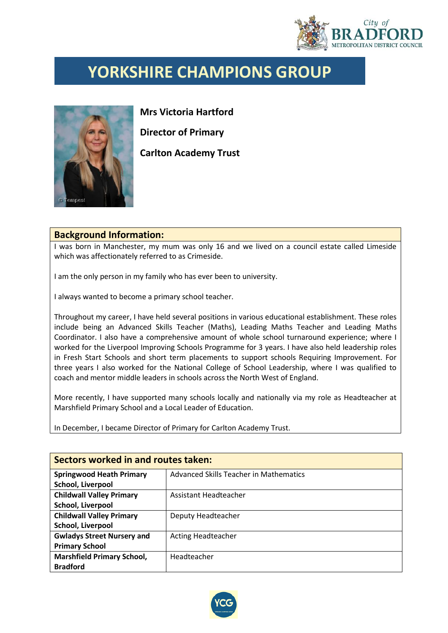

## **YORKSHIRE CHAMPIONS GROUP**



**Mrs Victoria Hartford Director of Primary Carlton Academy Trust**

## **Background Information:**

I was born in Manchester, my mum was only 16 and we lived on a council estate called Limeside which was affectionately referred to as Crimeside.

I am the only person in my family who has ever been to university.

I always wanted to become a primary school teacher.

Throughout my career, I have held several positions in various educational establishment. These roles include being an Advanced Skills Teacher (Maths), Leading Maths Teacher and Leading Maths Coordinator. I also have a comprehensive amount of whole school turnaround experience; where I worked for the Liverpool Improving Schools Programme for 3 years. I have also held leadership roles in Fresh Start Schools and short term placements to support schools Requiring Improvement. For three years I also worked for the National College of School Leadership, where I was qualified to coach and mentor middle leaders in schools across the North West of England.

More recently, I have supported many schools locally and nationally via my role as Headteacher at Marshfield Primary School and a Local Leader of Education.

In December, I became Director of Primary for Carlton Academy Trust.

| Sectors worked in and routes taken: |                                               |  |  |
|-------------------------------------|-----------------------------------------------|--|--|
| <b>Springwood Heath Primary</b>     | <b>Advanced Skills Teacher in Mathematics</b> |  |  |
| School, Liverpool                   |                                               |  |  |
| <b>Childwall Valley Primary</b>     | Assistant Headteacher                         |  |  |
| School, Liverpool                   |                                               |  |  |
| <b>Childwall Valley Primary</b>     | Deputy Headteacher                            |  |  |
| School, Liverpool                   |                                               |  |  |
| <b>Gwladys Street Nursery and</b>   | <b>Acting Headteacher</b>                     |  |  |
| <b>Primary School</b>               |                                               |  |  |
| <b>Marshfield Primary School,</b>   | Headteacher                                   |  |  |
| <b>Bradford</b>                     |                                               |  |  |